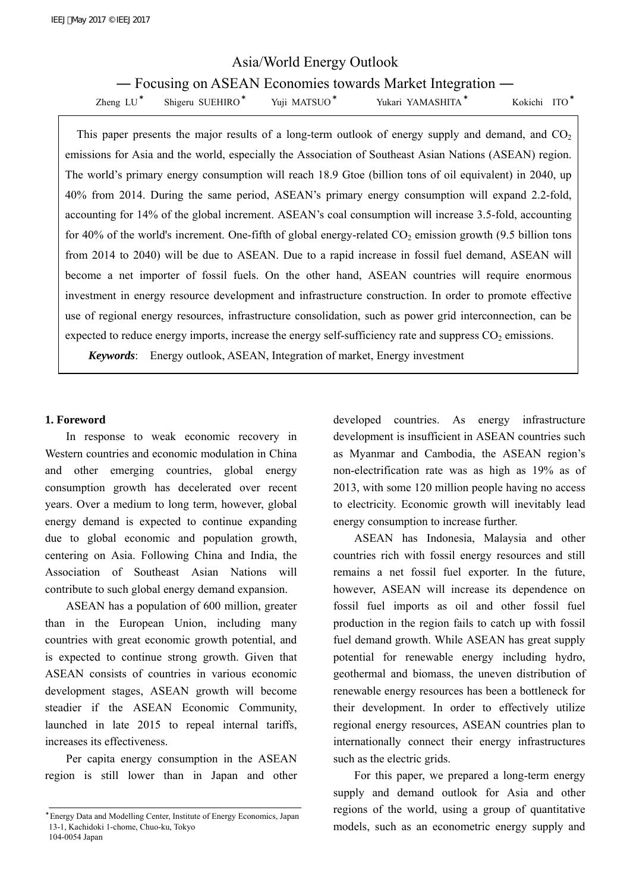# Asia/World Energy Outlook

― Focusing on ASEAN Economies towards Market Integration ―

| Shigeru SUEHIRO <sup>*</sup><br>Zheng $LU^*$ | Yuji MATSUO <sup>*</sup> | Yukari YAMASHITA* | Kokichi ITO* |
|----------------------------------------------|--------------------------|-------------------|--------------|
|----------------------------------------------|--------------------------|-------------------|--------------|

This paper presents the major results of a long-term outlook of energy supply and demand, and  $CO<sub>2</sub>$ emissions for Asia and the world, especially the Association of Southeast Asian Nations (ASEAN) region. The world's primary energy consumption will reach 18.9 Gtoe (billion tons of oil equivalent) in 2040, up 40% from 2014. During the same period, ASEAN's primary energy consumption will expand 2.2-fold, accounting for 14% of the global increment. ASEAN's coal consumption will increase 3.5-fold, accounting for 40% of the world's increment. One-fifth of global energy-related  $CO<sub>2</sub>$  emission growth (9.5 billion tons from 2014 to 2040) will be due to ASEAN. Due to a rapid increase in fossil fuel demand, ASEAN will become a net importer of fossil fuels. On the other hand, ASEAN countries will require enormous investment in energy resource development and infrastructure construction. In order to promote effective use of regional energy resources, infrastructure consolidation, such as power grid interconnection, can be expected to reduce energy imports, increase the energy self-sufficiency rate and suppress  $CO<sub>2</sub>$  emissions.

*Keywords*: Energy outlook, ASEAN, Integration of market, Energy investment

#### **1. Foreword**

In response to weak economic recovery in Western countries and economic modulation in China and other emerging countries, global energy consumption growth has decelerated over recent years. Over a medium to long term, however, global energy demand is expected to continue expanding due to global economic and population growth, centering on Asia. Following China and India, the Association of Southeast Asian Nations will contribute to such global energy demand expansion.

 ASEAN has a population of 600 million, greater than in the European Union, including many countries with great economic growth potential, and is expected to continue strong growth. Given that ASEAN consists of countries in various economic development stages, ASEAN growth will become steadier if the ASEAN Economic Community, launched in late 2015 to repeal internal tariffs, increases its effectiveness.

 Per capita energy consumption in the ASEAN region is still lower than in Japan and other

developed countries. As energy infrastructure development is insufficient in ASEAN countries such as Myanmar and Cambodia, the ASEAN region's non-electrification rate was as high as 19% as of 2013, with some 120 million people having no access to electricity. Economic growth will inevitably lead energy consumption to increase further.

 ASEAN has Indonesia, Malaysia and other countries rich with fossil energy resources and still remains a net fossil fuel exporter. In the future, however, ASEAN will increase its dependence on fossil fuel imports as oil and other fossil fuel production in the region fails to catch up with fossil fuel demand growth. While ASEAN has great supply potential for renewable energy including hydro, geothermal and biomass, the uneven distribution of renewable energy resources has been a bottleneck for their development. In order to effectively utilize regional energy resources, ASEAN countries plan to internationally connect their energy infrastructures such as the electric grids.

 For this paper, we prepared a long-term energy supply and demand outlook for Asia and other regions of the world, using a group of quantitative models, such as an econometric energy supply and

<sup>\*</sup>Energy Data and Modelling Center, Institute of Energy Economics, Japan 13-1, Kachidoki 1-chome, Chuo-ku, Tokyo 104-0054 Japan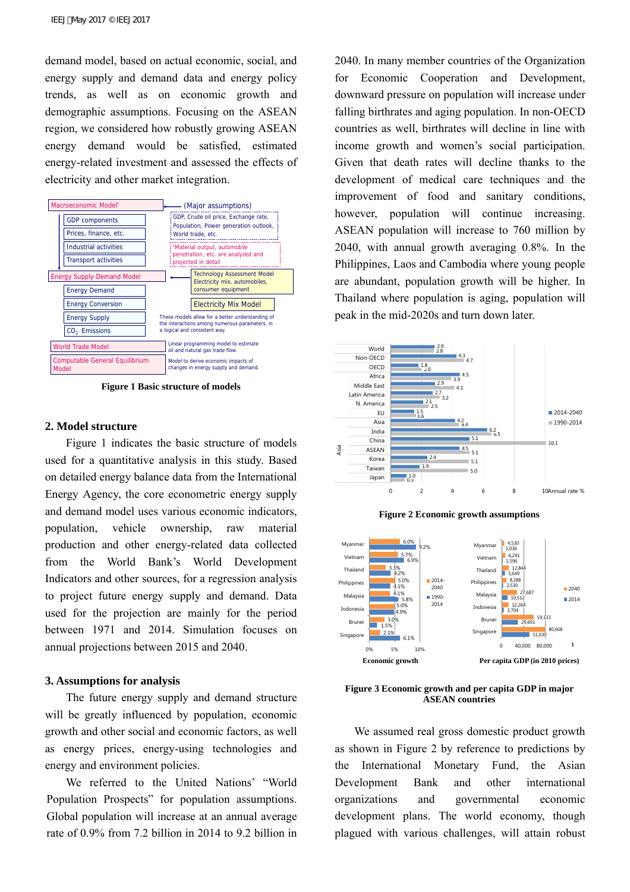demand model, based on actual economic, social, and energy supply and demand data and energy policy trends, as well as on economic growth and demographic assumptions. Focusing on the ASEAN region, we considered how robustly growing ASEAN energy demand would be satisfied, estimated energy-related investment and assessed the effects of electricity and other market integration.



**Figure 1 Basic structure of models**

#### **2. Model structure**

Figure 1 indicates the basic structure of models used for a quantitative analysis in this study. Based on detailed energy balance data from the International Energy Agency, the core econometric energy supply and demand model uses various economic indicators, population, vehicle ownership, raw material production and other energy-related data collected from the World Bank's World Development Indicators and other sources, for a regression analysis to project future energy supply and demand. Data used for the projection are mainly for the period between 1971 and 2014. Simulation focuses on annual projections between 2015 and 2040.

#### **3. Assumptions for analysis**

 The future energy supply and demand structure will be greatly influenced by population, economic growth and other social and economic factors, as well as energy prices, energy-using technologies and energy and environment policies.

 We referred to the United Nations' "World Population Prospects" for population assumptions. Global population will increase at an annual average rate of 0.9% from 7.2 billion in 2014 to 9.2 billion in 2040. In many member countries of the Organization for Economic Cooperation and Development, downward pressure on population will increase under falling birthrates and aging population. In non-OECD countries as well, birthrates will decline in line with income growth and women's social participation. Given that death rates will decline thanks to the development of medical care techniques and the improvement of food and sanitary conditions, however, population will continue increasing. ASEAN population will increase to 760 million by 2040, with annual growth averaging 0.8%. In the Philippines, Laos and Cambodia where young people are abundant, population growth will be higher. In Thailand where population is aging, population will peak in the mid-2020s and turn down later.



**Figure 2 Economic growth assumptions**



**Figure 3 Economic growth and per capita GDP in major ASEAN countries**

 We assumed real gross domestic product growth as shown in Figure 2 by reference to predictions by the International Monetary Fund, the Asian Development Bank and other international organizations and governmental economic development plans. The world economy, though plagued with various challenges, will attain robust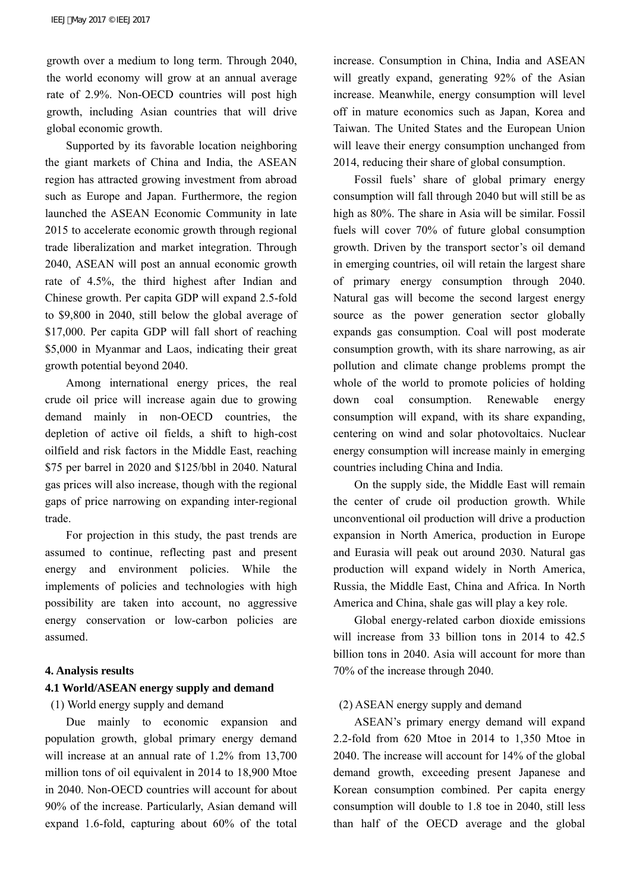growth over a medium to long term. Through 2040, the world economy will grow at an annual average rate of 2.9%. Non-OECD countries will post high growth, including Asian countries that will drive global economic growth.

 Supported by its favorable location neighboring the giant markets of China and India, the ASEAN region has attracted growing investment from abroad such as Europe and Japan. Furthermore, the region launched the ASEAN Economic Community in late 2015 to accelerate economic growth through regional trade liberalization and market integration. Through 2040, ASEAN will post an annual economic growth rate of 4.5%, the third highest after Indian and Chinese growth. Per capita GDP will expand 2.5-fold to \$9,800 in 2040, still below the global average of \$17,000. Per capita GDP will fall short of reaching \$5,000 in Myanmar and Laos, indicating their great growth potential beyond 2040.

 Among international energy prices, the real crude oil price will increase again due to growing demand mainly in non-OECD countries, the depletion of active oil fields, a shift to high-cost oilfield and risk factors in the Middle East, reaching \$75 per barrel in 2020 and \$125/bbl in 2040. Natural gas prices will also increase, though with the regional gaps of price narrowing on expanding inter-regional trade.

 For projection in this study, the past trends are assumed to continue, reflecting past and present energy and environment policies. While the implements of policies and technologies with high possibility are taken into account, no aggressive energy conservation or low-carbon policies are assumed.

## **4. Analysis results**

### **4.1 World/ASEAN energy supply and demand**

## (1) World energy supply and demand

 Due mainly to economic expansion and population growth, global primary energy demand will increase at an annual rate of 1.2% from 13,700 million tons of oil equivalent in 2014 to 18,900 Mtoe in 2040. Non-OECD countries will account for about 90% of the increase. Particularly, Asian demand will expand 1.6-fold, capturing about 60% of the total

increase. Consumption in China, India and ASEAN will greatly expand, generating 92% of the Asian increase. Meanwhile, energy consumption will level off in mature economics such as Japan, Korea and Taiwan. The United States and the European Union will leave their energy consumption unchanged from 2014, reducing their share of global consumption.

 Fossil fuels' share of global primary energy consumption will fall through 2040 but will still be as high as 80%. The share in Asia will be similar. Fossil fuels will cover 70% of future global consumption growth. Driven by the transport sector's oil demand in emerging countries, oil will retain the largest share of primary energy consumption through 2040. Natural gas will become the second largest energy source as the power generation sector globally expands gas consumption. Coal will post moderate consumption growth, with its share narrowing, as air pollution and climate change problems prompt the whole of the world to promote policies of holding down coal consumption. Renewable energy consumption will expand, with its share expanding, centering on wind and solar photovoltaics. Nuclear energy consumption will increase mainly in emerging countries including China and India.

 On the supply side, the Middle East will remain the center of crude oil production growth. While unconventional oil production will drive a production expansion in North America, production in Europe and Eurasia will peak out around 2030. Natural gas production will expand widely in North America, Russia, the Middle East, China and Africa. In North America and China, shale gas will play a key role.

 Global energy-related carbon dioxide emissions will increase from 33 billion tons in 2014 to 42.5 billion tons in 2040. Asia will account for more than 70% of the increase through 2040.

## (2) ASEAN energy supply and demand

 ASEAN's primary energy demand will expand 2.2-fold from 620 Mtoe in 2014 to 1,350 Mtoe in 2040. The increase will account for 14% of the global demand growth, exceeding present Japanese and Korean consumption combined. Per capita energy consumption will double to 1.8 toe in 2040, still less than half of the OECD average and the global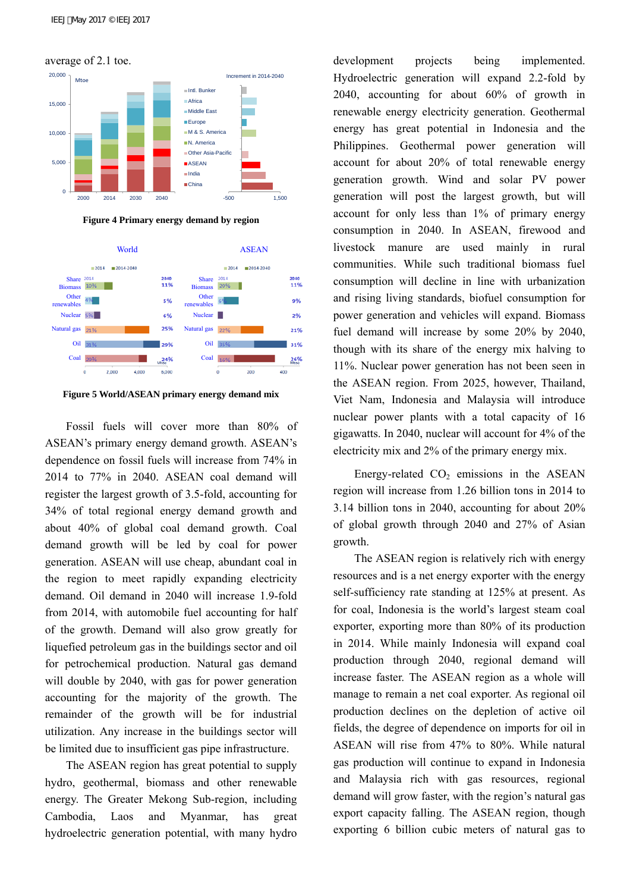



**Figure 4 Primary energy demand by region**



**Figure 5 World/ASEAN primary energy demand mix**

 Fossil fuels will cover more than 80% of ASEAN's primary energy demand growth. ASEAN's dependence on fossil fuels will increase from 74% in 2014 to 77% in 2040. ASEAN coal demand will register the largest growth of 3.5-fold, accounting for 34% of total regional energy demand growth and about 40% of global coal demand growth. Coal demand growth will be led by coal for power generation. ASEAN will use cheap, abundant coal in the region to meet rapidly expanding electricity demand. Oil demand in 2040 will increase 1.9-fold from 2014, with automobile fuel accounting for half of the growth. Demand will also grow greatly for liquefied petroleum gas in the buildings sector and oil for petrochemical production. Natural gas demand will double by 2040, with gas for power generation accounting for the majority of the growth. The remainder of the growth will be for industrial utilization. Any increase in the buildings sector will be limited due to insufficient gas pipe infrastructure.

The ASEAN region has great potential to supply hydro, geothermal, biomass and other renewable energy. The Greater Mekong Sub-region, including Cambodia, Laos and Myanmar, has great hydroelectric generation potential, with many hydro

development projects being implemented. Hydroelectric generation will expand 2.2-fold by 2040, accounting for about 60% of growth in renewable energy electricity generation. Geothermal energy has great potential in Indonesia and the Philippines. Geothermal power generation will account for about 20% of total renewable energy generation growth. Wind and solar PV power generation will post the largest growth, but will account for only less than 1% of primary energy consumption in 2040. In ASEAN, firewood and livestock manure are used mainly in rural communities. While such traditional biomass fuel consumption will decline in line with urbanization and rising living standards, biofuel consumption for power generation and vehicles will expand. Biomass fuel demand will increase by some 20% by 2040, though with its share of the energy mix halving to 11%. Nuclear power generation has not been seen in the ASEAN region. From 2025, however, Thailand, Viet Nam, Indonesia and Malaysia will introduce nuclear power plants with a total capacity of 16 gigawatts. In 2040, nuclear will account for 4% of the electricity mix and 2% of the primary energy mix.

Energy-related  $CO<sub>2</sub>$  emissions in the ASEAN region will increase from 1.26 billion tons in 2014 to 3.14 billion tons in 2040, accounting for about 20% of global growth through 2040 and 27% of Asian growth.

 The ASEAN region is relatively rich with energy resources and is a net energy exporter with the energy self-sufficiency rate standing at 125% at present. As for coal, Indonesia is the world's largest steam coal exporter, exporting more than 80% of its production in 2014. While mainly Indonesia will expand coal production through 2040, regional demand will increase faster. The ASEAN region as a whole will manage to remain a net coal exporter. As regional oil production declines on the depletion of active oil fields, the degree of dependence on imports for oil in ASEAN will rise from 47% to 80%. While natural gas production will continue to expand in Indonesia and Malaysia rich with gas resources, regional demand will grow faster, with the region's natural gas export capacity falling. The ASEAN region, though exporting 6 billion cubic meters of natural gas to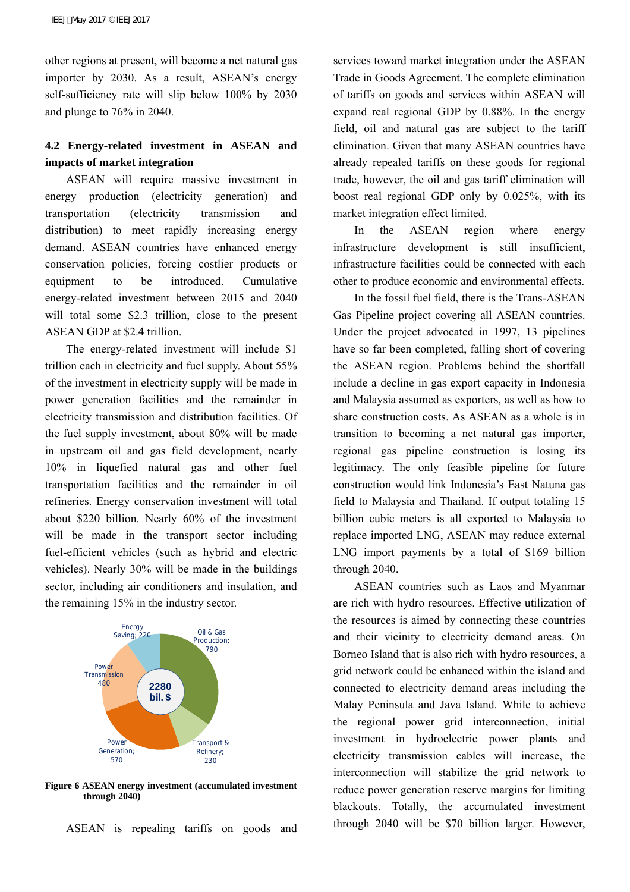other regions at present, will become a net natural gas importer by 2030. As a result, ASEAN's energy self-sufficiency rate will slip below 100% by 2030 and plunge to 76% in 2040.

# **4.2 Energy-related investment in ASEAN and impacts of market integration**

 ASEAN will require massive investment in energy production (electricity generation) and transportation (electricity transmission and distribution) to meet rapidly increasing energy demand. ASEAN countries have enhanced energy conservation policies, forcing costlier products or equipment to be introduced. Cumulative energy-related investment between 2015 and 2040 will total some \$2.3 trillion, close to the present ASEAN GDP at \$2.4 trillion.

 The energy-related investment will include \$1 trillion each in electricity and fuel supply. About 55% of the investment in electricity supply will be made in power generation facilities and the remainder in electricity transmission and distribution facilities. Of the fuel supply investment, about 80% will be made in upstream oil and gas field development, nearly 10% in liquefied natural gas and other fuel transportation facilities and the remainder in oil refineries. Energy conservation investment will total about \$220 billion. Nearly 60% of the investment will be made in the transport sector including fuel-efficient vehicles (such as hybrid and electric vehicles). Nearly 30% will be made in the buildings sector, including air conditioners and insulation, and the remaining 15% in the industry sector.



**Figure 6 ASEAN energy investment (accumulated investment through 2040)** 

ASEAN is repealing tariffs on goods and

services toward market integration under the ASEAN Trade in Goods Agreement. The complete elimination of tariffs on goods and services within ASEAN will expand real regional GDP by 0.88%. In the energy field, oil and natural gas are subject to the tariff elimination. Given that many ASEAN countries have already repealed tariffs on these goods for regional trade, however, the oil and gas tariff elimination will boost real regional GDP only by 0.025%, with its market integration effect limited.

 In the ASEAN region where energy infrastructure development is still insufficient, infrastructure facilities could be connected with each other to produce economic and environmental effects.

 In the fossil fuel field, there is the Trans-ASEAN Gas Pipeline project covering all ASEAN countries. Under the project advocated in 1997, 13 pipelines have so far been completed, falling short of covering the ASEAN region. Problems behind the shortfall include a decline in gas export capacity in Indonesia and Malaysia assumed as exporters, as well as how to share construction costs. As ASEAN as a whole is in transition to becoming a net natural gas importer, regional gas pipeline construction is losing its legitimacy. The only feasible pipeline for future construction would link Indonesia's East Natuna gas field to Malaysia and Thailand. If output totaling 15 billion cubic meters is all exported to Malaysia to replace imported LNG, ASEAN may reduce external LNG import payments by a total of \$169 billion through 2040.

 ASEAN countries such as Laos and Myanmar are rich with hydro resources. Effective utilization of the resources is aimed by connecting these countries and their vicinity to electricity demand areas. On Borneo Island that is also rich with hydro resources, a grid network could be enhanced within the island and connected to electricity demand areas including the Malay Peninsula and Java Island. While to achieve the regional power grid interconnection, initial investment in hydroelectric power plants and electricity transmission cables will increase, the interconnection will stabilize the grid network to reduce power generation reserve margins for limiting blackouts. Totally, the accumulated investment through 2040 will be \$70 billion larger. However,